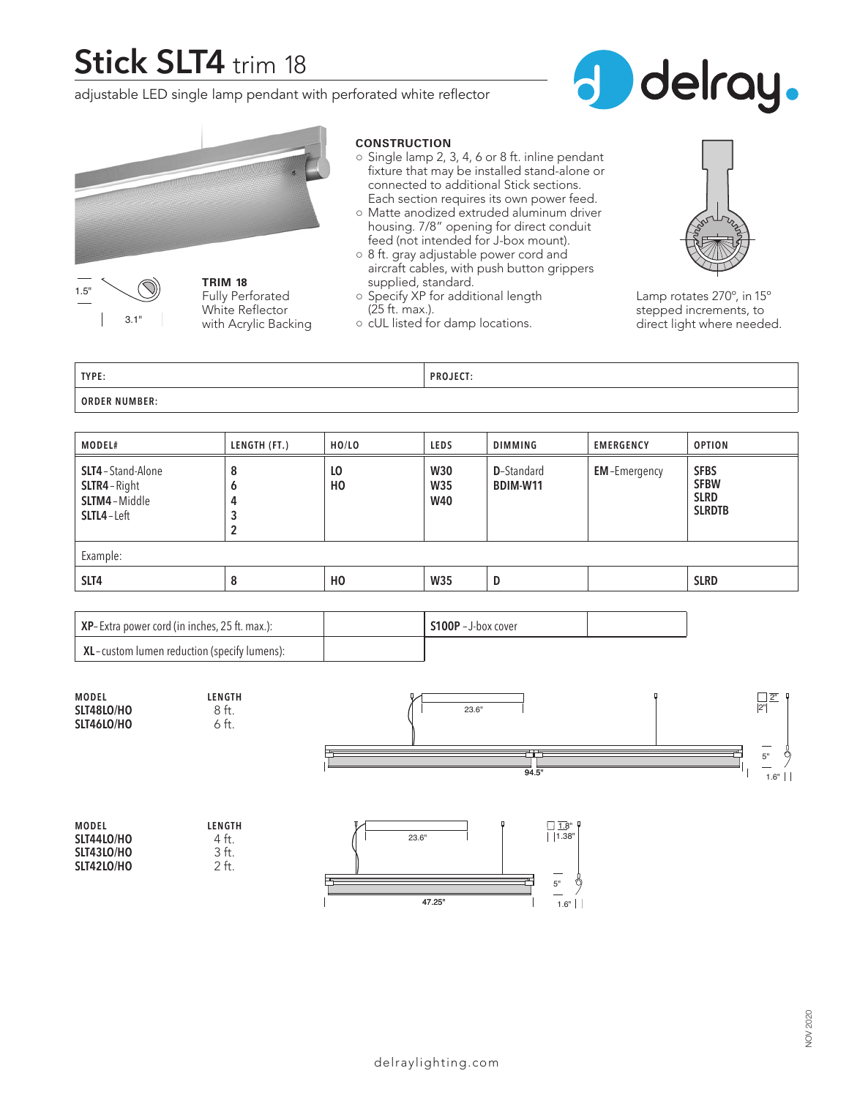# **Stick SLT4** trim 18

adjustable LED single lamp pendant with perforated white reflector







**TRIM 18** Fully Perforated White Reflector with Acrylic Backing

#### **CONSTRUCTION**

- Single lamp 2, 3, 4, 6 or 8 ft. inline pendant fixture that may be installed stand-alone or connected to additional Stick sections. Each section requires its own power feed.
- Matte anodized extruded aluminum driver housing. 7/8" opening for direct conduit feed (not intended for J-box mount).
- 8 ft. gray adjustable power cord and aircraft cables, with push button grippers supplied, standard.
- Specify XP for additional length (25 ft. max.).
- cUL listed for damp locations.



Lamp rotates 270º, in 15º stepped increments, to direct light where needed.

| TYPE:                | <b>PROJECT:</b> |
|----------------------|-----------------|
| <b>ORDER NUMBER:</b> |                 |

| MODEL#                                                               | LENGTH (FT.)     | HO/LO          | <b>LEDS</b>                            | <b>DIMMING</b>                 | <b>EMERGENCY</b>    | <b>OPTION</b>                                              |
|----------------------------------------------------------------------|------------------|----------------|----------------------------------------|--------------------------------|---------------------|------------------------------------------------------------|
| SLT4-Stand-Alone<br>SLTR4-Right<br>SLTM4-Middle<br><b>SLTL4-Left</b> | 8<br>O<br>4<br>2 | LO<br>HO       | <b>W30</b><br><b>W35</b><br><b>W40</b> | <b>D</b> -Standard<br>BDIM-W11 | <b>EM-Emergency</b> | <b>SFBS</b><br><b>SFBW</b><br><b>SLRD</b><br><b>SLRDTB</b> |
| Example:                                                             |                  |                |                                        |                                |                     |                                                            |
| SLT4                                                                 | 8                | H <sub>0</sub> | <b>W35</b>                             | D                              |                     | <b>SLRD</b>                                                |

| $XP$ -Extra power cord (in inches, 25 ft. max.):                                                         | $$100P - J$ -box cover |  |
|----------------------------------------------------------------------------------------------------------|------------------------|--|
| $\mathsf{XL}\text{-}\mathsf{custom}\text{-}\mathsf{lumen}\mathsf{reduction}\text{(specificly\,lumens):}$ |                        |  |



| 4 ft.           |
|-----------------|
| 3 <sub>ft</sub> |
| 2 ft.           |
|                 |

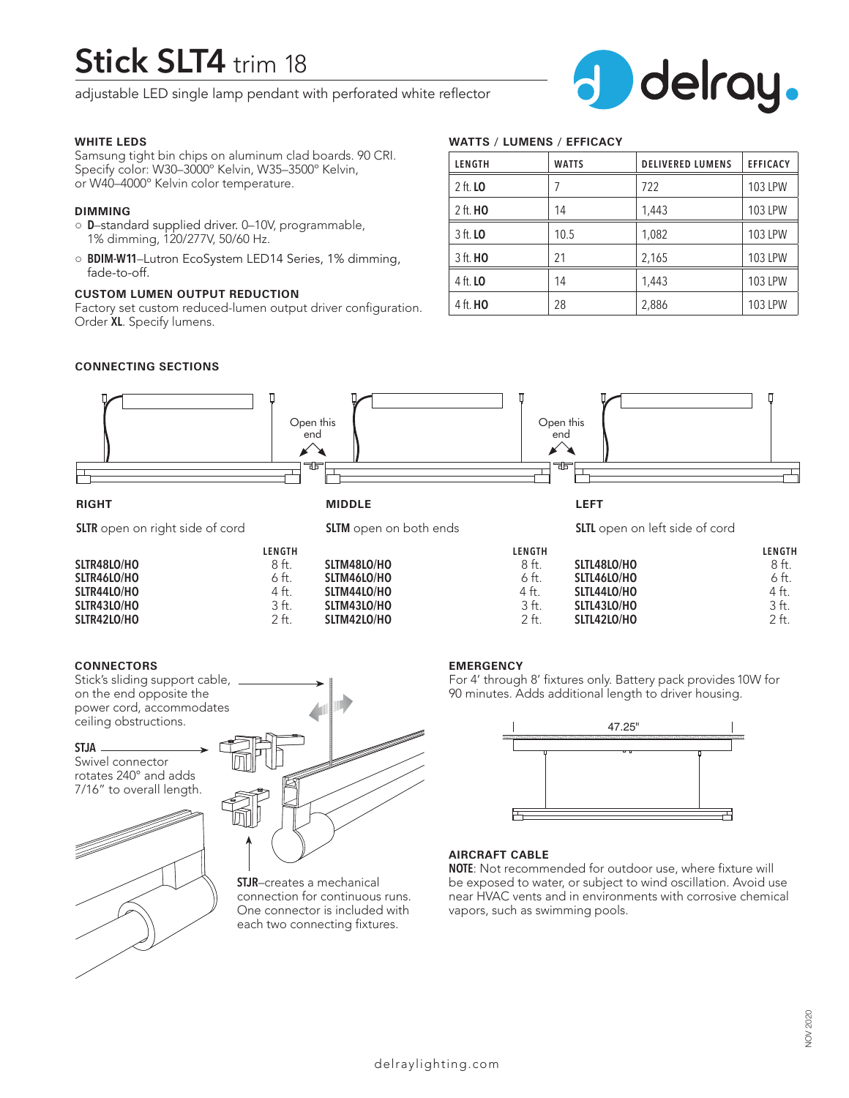# **Stick SLT4** trim 18

adjustable LED single lamp pendant with perforated white reflector

#### **WHITE LEDS**

Samsung tight bin chips on aluminum clad boards. 90 CRI. Specify color: W30–3000º Kelvin, W35–3500º Kelvin, or W40–4000º Kelvin color temperature.

#### **DIMMING**

- **D**–standard supplied driver. 0–10V, programmable, 1% dimming, 120/277V, 50/60 Hz.
- **BDIM-W11**–Lutron EcoSystem LED14 Series, 1% dimming, fade-to-off.

### **CUSTOM LUMEN OUTPUT REDUCTION**

Factory set custom reduced-lumen output driver configuration. Order **XL**. Specify lumens.

## **WATTS / LUMENS / EFFICACY**

| LENGTH          | <b>WATTS</b> | <b>DELIVERED LUMENS</b> | <b>EFFICACY</b> |
|-----------------|--------------|-------------------------|-----------------|
| 2 ft. <b>LO</b> |              | 722                     | <b>103 LPW</b>  |
| 2 ft. <b>HO</b> | 14           | 1,443                   | <b>103 LPW</b>  |
| 3 ft. <b>LO</b> | 10.5         | 1,082                   | <b>103 LPW</b>  |
| 3 ft. <b>HO</b> | 21           | 2,165                   | <b>103 LPW</b>  |
| 4 ft. <b>LO</b> | 14           | 1,443                   | <b>103 LPW</b>  |
| 4 ft. <b>HO</b> | 28           | 2,886                   | <b>103 LPW</b>  |

 $\mathsf{J}^+$ 

delray.

### **CONNECTING SECTIONS**



**SLTM43LO/HO** 3 ft.<br>**SLTM42LO/HO** 2 ft.

#### **CONNECTORS**

**SLTR42LO/HO** 

Stick's sliding support cable, on the end opposite the power cord, accommodates ceiling obstructions.

**SLTR43LO/HO** 3 ft.<br>**SLTR42LO/HO** 2 ft.

#### **STJA**

Swivel connector rotates 240° and adds 7/16" to overall length.





**SLTM42LO/HO** 

**STJR**–creates a mechanical connection for continuous runs. One connector is included with each two connecting fixtures.

#### **EMERGENCY**

For 4' through 8' fixtures only. Battery pack provides 10W for 90 minutes. Adds additional length to driver housing.

**SLTL42LO/HO** 

**SLTL43LO/HO** 3 ft.<br>**SLTL42LO/HO** 2 ft.



#### **AIRCRAFT CABLE**

**NOTE**: Not recommended for outdoor use, where fixture will be exposed to water, or subject to wind oscillation. Avoid use near HVAC vents and in environments with corrosive chemical vapors, such as swimming pools.